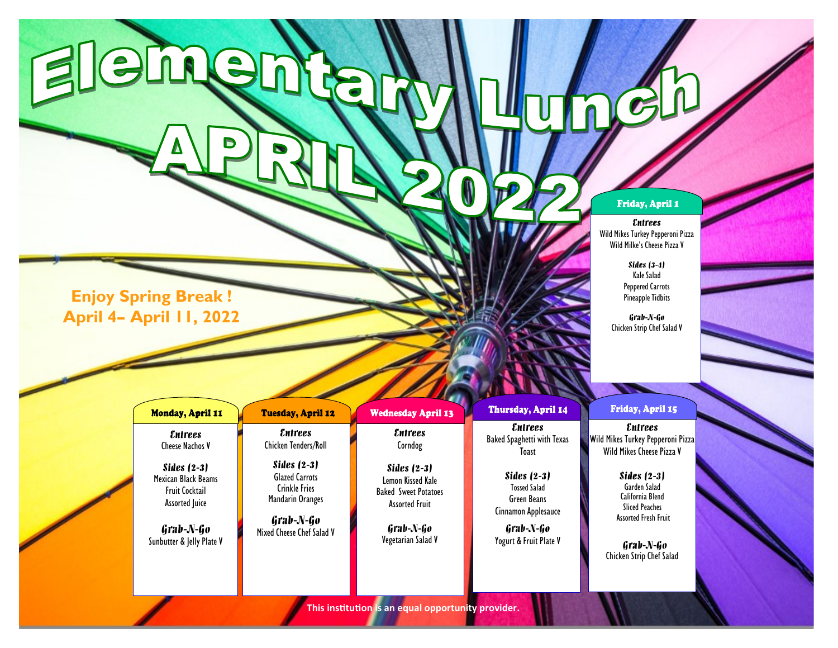## Friday, April 1

## *Entrees*

Wild Mikes Turkey Pepperoni Pizza Wild Milke's Cheese Pizza V

> *Sides (3-4)* Kale Salad Peppered Carrots Pineapple Tidbits

*Grab-N-Go* Chicken Strip Chef Salad V

**Enjoy Spring Break ! April 4– April 11, 2022**

Elemen

Г

| <b>Monday, April 11</b>                                                         | <b>Tuesday, April 12</b>                                                                | <b>Wednesday April 13</b>                                                                  | Thursday, April 14                                                         | Friday, April 15                                                                               |
|---------------------------------------------------------------------------------|-----------------------------------------------------------------------------------------|--------------------------------------------------------------------------------------------|----------------------------------------------------------------------------|------------------------------------------------------------------------------------------------|
| <i><b>Entrees</b></i><br>Cheese Nachos V                                        | <i><b>Entrees</b></i><br><b>Chicken Tenders/Roll</b>                                    | <i><b>Entrees</b></i><br>Corndog                                                           | <i><b>Entrees</b></i><br><b>Baked Spaghetti with Texas</b><br>Toast        | <i><b>Entrees</b></i><br><b>Wild Mikes Turkey Pepperoni Pizza</b><br>Wild Mikes Cheese Pizza V |
| Sides $(2-3)$<br>Mexican Black Beams<br>Fruit Cocktail<br><b>Assorted Juice</b> | <b>Sides (2-3)</b><br><b>Glazed Carrots</b><br><b>Crinkle Fries</b><br>Mandarin Oranges | Sides $(2-3)$<br>Lemon Kissed Kale<br><b>Baked Sweet Potatoes</b><br><b>Assorted Fruit</b> | Sides $(2-3)$<br><b>Tossed Salad</b><br>Green Beans<br>Cinnamon Applesauce | Sides $(2-3)$<br>Garden Salad<br>California Blend<br><b>Sliced Peaches</b>                     |
| Grab-N-Go<br>Sunbutter & Jelly Plate V                                          | Grab-N-Go<br>Mixed Cheese Chef Salad V                                                  | Grab-N-Go<br>Vegetarian Salad V                                                            | Grab-N-Go<br>Yogurt & Fruit Plate V                                        | <b>Assorted Fresh Fruit</b><br>Grab-N-Go<br>Chicken Strip Chef Salad                           |

 $\llap{0}$ 

 $\frac{1}{\sqrt{2}}$